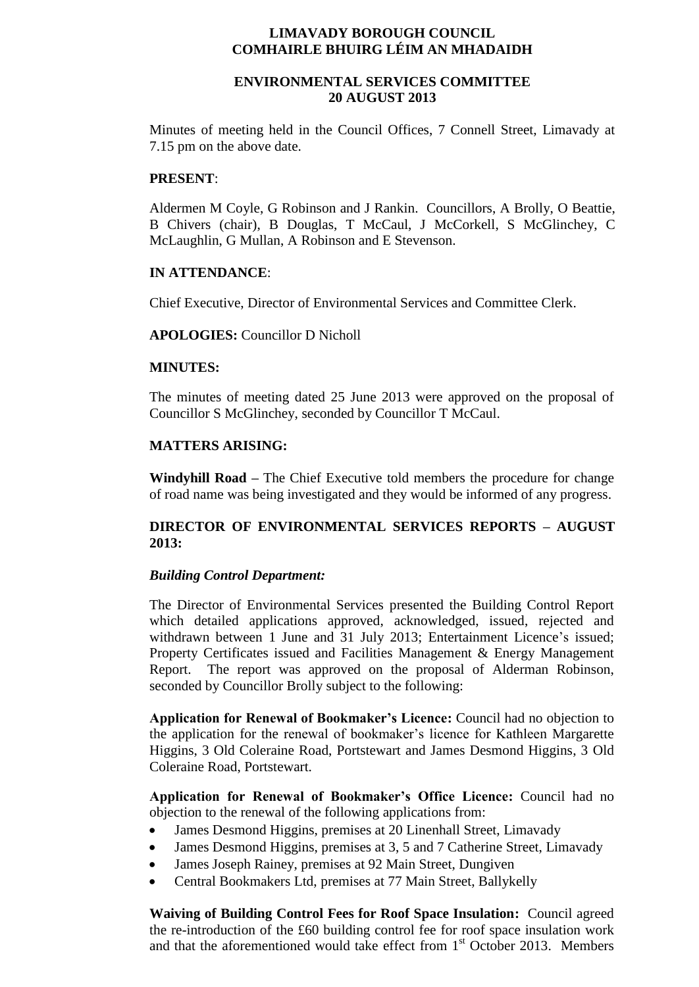# **LIMAVADY BOROUGH COUNCIL COMHAIRLE BHUIRG LÉIM AN MHADAIDH**

# **ENVIRONMENTAL SERVICES COMMITTEE 20 AUGUST 2013**

Minutes of meeting held in the Council Offices, 7 Connell Street, Limavady at 7.15 pm on the above date.

## **PRESENT**:

Aldermen M Coyle, G Robinson and J Rankin. Councillors, A Brolly, O Beattie, B Chivers (chair), B Douglas, T McCaul, J McCorkell, S McGlinchey, C McLaughlin, G Mullan, A Robinson and E Stevenson.

### **IN ATTENDANCE**:

Chief Executive, Director of Environmental Services and Committee Clerk.

## **APOLOGIES:** Councillor D Nicholl

### **MINUTES:**

The minutes of meeting dated 25 June 2013 were approved on the proposal of Councillor S McGlinchey, seconded by Councillor T McCaul.

### **MATTERS ARISING:**

**Windyhill Road –** The Chief Executive told members the procedure for change of road name was being investigated and they would be informed of any progress.

# **DIRECTOR OF ENVIRONMENTAL SERVICES REPORTS – AUGUST 2013:**

#### *Building Control Department:*

The Director of Environmental Services presented the Building Control Report which detailed applications approved, acknowledged, issued, rejected and withdrawn between 1 June and 31 July 2013; Entertainment Licence's issued; Property Certificates issued and Facilities Management & Energy Management Report. The report was approved on the proposal of Alderman Robinson, seconded by Councillor Brolly subject to the following:

**Application for Renewal of Bookmaker's Licence:** Council had no objection to the application for the renewal of bookmaker's licence for Kathleen Margarette Higgins, 3 Old Coleraine Road, Portstewart and James Desmond Higgins, 3 Old Coleraine Road, Portstewart.

**Application for Renewal of Bookmaker's Office Licence:** Council had no objection to the renewal of the following applications from:

- James Desmond Higgins, premises at 20 Linenhall Street, Limavady
- James Desmond Higgins, premises at 3, 5 and 7 Catherine Street, Limavady
- James Joseph Rainey, premises at 92 Main Street, Dungiven
- Central Bookmakers Ltd, premises at 77 Main Street, Ballykelly

**Waiving of Building Control Fees for Roof Space Insulation:** Council agreed the re-introduction of the £60 building control fee for roof space insulation work and that the aforementioned would take effect from 1<sup>st</sup> October 2013. Members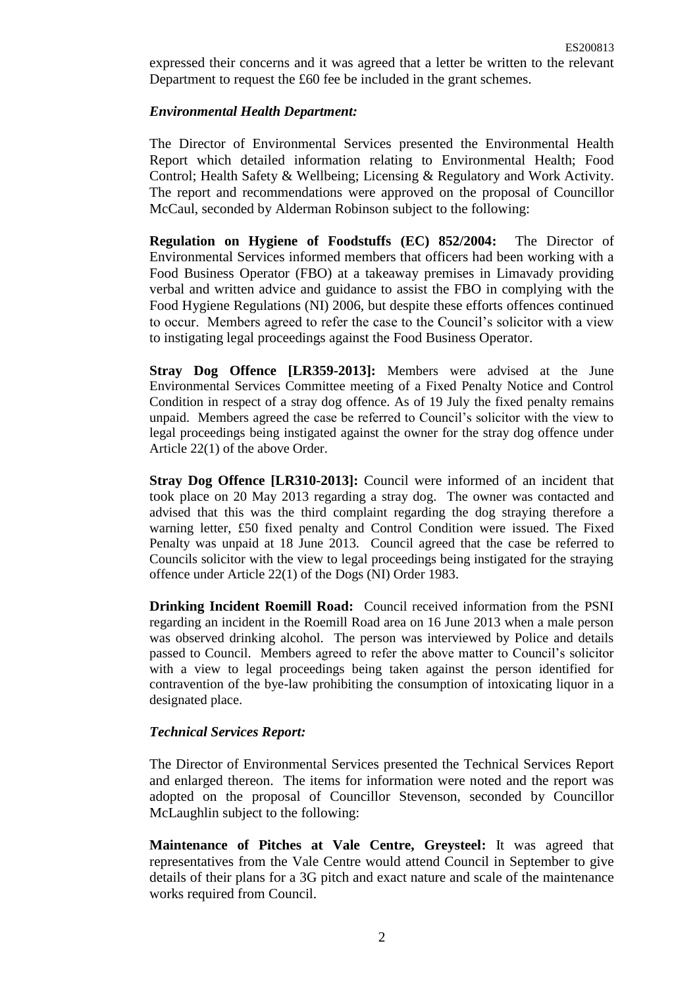expressed their concerns and it was agreed that a letter be written to the relevant Department to request the £60 fee be included in the grant schemes.

# *Environmental Health Department:*

The Director of Environmental Services presented the Environmental Health Report which detailed information relating to Environmental Health; Food Control; Health Safety & Wellbeing; Licensing & Regulatory and Work Activity. The report and recommendations were approved on the proposal of Councillor McCaul, seconded by Alderman Robinson subject to the following:

**Regulation on Hygiene of Foodstuffs (EC) 852/2004:** The Director of Environmental Services informed members that officers had been working with a Food Business Operator (FBO) at a takeaway premises in Limavady providing verbal and written advice and guidance to assist the FBO in complying with the Food Hygiene Regulations (NI) 2006, but despite these efforts offences continued to occur. Members agreed to refer the case to the Council's solicitor with a view to instigating legal proceedings against the Food Business Operator.

**Stray Dog Offence [LR359-2013]:** Members were advised at the June Environmental Services Committee meeting of a Fixed Penalty Notice and Control Condition in respect of a stray dog offence. As of 19 July the fixed penalty remains unpaid. Members agreed the case be referred to Council's solicitor with the view to legal proceedings being instigated against the owner for the stray dog offence under Article 22(1) of the above Order.

**Stray Dog Offence [LR310-2013]:** Council were informed of an incident that took place on 20 May 2013 regarding a stray dog. The owner was contacted and advised that this was the third complaint regarding the dog straying therefore a warning letter, £50 fixed penalty and Control Condition were issued. The Fixed Penalty was unpaid at 18 June 2013. Council agreed that the case be referred to Councils solicitor with the view to legal proceedings being instigated for the straying offence under Article 22(1) of the Dogs (NI) Order 1983.

**Drinking Incident Roemill Road:** Council received information from the PSNI regarding an incident in the Roemill Road area on 16 June 2013 when a male person was observed drinking alcohol. The person was interviewed by Police and details passed to Council. Members agreed to refer the above matter to Council's solicitor with a view to legal proceedings being taken against the person identified for contravention of the bye-law prohibiting the consumption of intoxicating liquor in a designated place.

## *Technical Services Report:*

The Director of Environmental Services presented the Technical Services Report and enlarged thereon. The items for information were noted and the report was adopted on the proposal of Councillor Stevenson, seconded by Councillor McLaughlin subject to the following:

**Maintenance of Pitches at Vale Centre, Greysteel:** It was agreed that representatives from the Vale Centre would attend Council in September to give details of their plans for a 3G pitch and exact nature and scale of the maintenance works required from Council.